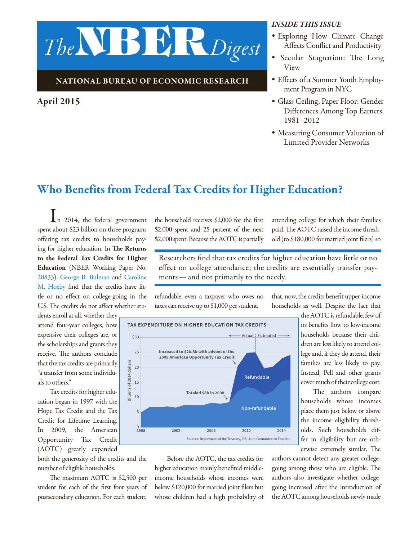

#### National Bureau of Economic Research

#### April 2015

#### *Inside this issue*

- *•* Exploring How Climate Change Affects Conflict and Productivity
- *•* Secular Stagnation: The Long View
- *•* Effects of a Summer Youth Employment Program in NYC
- *•* Glass Ceiling, Paper Floor: Gender Differences Among Top Earners, 1981–2012
- *•* Measuring Consumer Valuation of Limited Provider Networks

## Who Benefits from Federal Tax Credits for Higher Education?

In 2014, the federal government spent about \$23 billion on three programs offering tax credits to households paying for higher education. In The Returns to the Federal Tax Credits for Higher Education (NBER Working Paper No. [20833](http://www.nber.org/papers/w20833)), [George B. Bulman](http://www.nber.org/people/george_bulman) and [Caroline](http://www.nber.org/people/caroline_hoxby)  [M. Hoxby](http://www.nber.org/people/caroline_hoxby) find that the credits have little or no effect on college-going in the U.S. The credits do not affect whether stu-

dents enroll at all, whether they attend four-year colleges, how expensive their colleges are, or the scholarships and grants they receive. The authors conclude that the tax credits are primarily "a transfer from some individuals to others."

Tax credits for higher education began in 1997 with the Hope Tax Credit and the Tax Credit for Lifetime Learning. In 2009, the American Opportunity Tax Credit (AOTC) greatly expanded

both the generosity of the credits and the number of eligible households.

The maximum AOTC is \$2,500 per student for each of the first four years of postsecondary education. For each student, the household receives \$2,000 for the first \$2,000 spent and 25 percent of the next \$2,000 spent. Because the AOTC is partially attending college for which their families paid. The AOTC raised the income threshold (to \$180,000 for married joint filers) so

Researchers find that tax credits for higher education have little or no effect on college attendance; the credits are essentially transfer payments—and not primarily to the needy.

refundable, even a taxpayer who owes no taxes can receive up to \$1,000 per student.



Before the AOTC, the tax credits for higher education mainly benefited middleincome households whose incomes were below \$120,000 for married joint filers but whose children had a high probability of that, now, the credits benefit upper-income households as well. Despite the fact that

> the AOTC is refundable, few of its benefits flow to low-income households because their children are less likely to attend college and, if they do attend, their families are less likely to pay. Instead, Pell and other grants cover much of their college cost.

The authors compare households whose incomes place them just below or above the income eligibility thresholds. Such households differ in eligibility but are otherwise extremely similar. The

authors cannot detect any greater collegegoing among those who are eligible. The authors also investigate whether collegegoing increased after the introduction of the AOTC among households newly made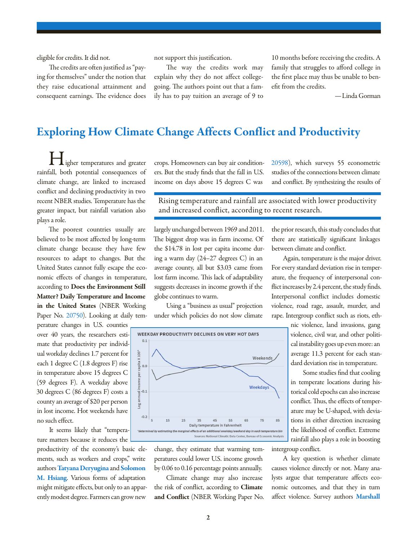eligible for credits. It did not.

The credits are often justified as "paying for themselves" under the notion that they raise educational attainment and consequent earnings. The evidence does not support this justification.

The way the credits work may explain why they do not affect collegegoing. The authors point out that a family has to pay tuition an average of 9 to

10 months before receiving the credits. A family that struggles to afford college in the first place may thus be unable to benefit from the credits.

—Linda Gorman

## Exploring How Climate Change Affects Conflict and Productivity

igher temperatures and greater rainfall, both potential consequences of climate change, are linked to increased conflict and declining productivity in two recent NBER studies. Temperature has the greater impact, but rainfall variation also plays a role.

The poorest countries usually are believed to be most affected by long-term climate change because they have few resources to adapt to changes. But the United States cannot fully escape the economic effects of changes in temperature, according to Does the Environment Still Matter? Daily Temperature and Income in the United States (NBER Working Paper No. [20750](http://www.nber.org/papers/w20750)). Looking at daily tem-

perature changes in U.S. counties over 40 years, the researchers estimate that productivity per individual workday declines 1.7 percent for each 1 degree C (1.8 degrees F) rise in temperature above 15 degrees C (59 degrees F). A weekday above 30 degrees C (86 degrees F) costs a county an average of \$20 per person in lost income. Hot weekends have no such effect.

It seems likely that "temperature matters because it reduces the

productivity of the economy's basic elements, such as workers and crops," write authors [Tatyana Deryugina](http://www.nber.org/people/tatyana_deryugina) and [Solomon](http://www.nber.org/people/solomon_hsiang)  [M. Hsiang](http://www.nber.org/people/solomon_hsiang). Various forms of adaptation might mitigate effects, but only to an apparently modest degree. Farmers can grow new

crops. Homeowners can buy air conditioners. But the study finds that the fall in U.S. income on days above 15 degrees C was

[20598](http://www.nber.org/papers/w20598)), which surveys 55 econometric studies of the connections between climate and conflict. By synthesizing the results of

Rising temperature and rainfall are associated with lower productivity and increased conflict, according to recent research.

largely unchanged between 1969 and 2011. The biggest drop was in farm income. Of the \$14.78 in lost per capita income during a warm day (24–27 degrees C) in an average county, all but \$3.03 came from lost farm income. This lack of adaptability suggests decreases in income growth if the globe continues to warm.

Using a "business as usual" projection under which policies do not slow climate



change, they estimate that warming temperatures could lower U.S. income growth by 0.06 to 0.16 percentage points annually.

Climate change may also increase the risk of conflict, according to Climate and Conflict (NBER Working Paper No. the prior research, this study concludes that there are statistically significant linkages between climate and conflict.

Again, temperature is the major driver. For every standard deviation rise in temperature, the frequency of interpersonal conflict increases by 2.4 percent, the study finds. Interpersonal conflict includes domestic violence, road rage, assault, murder, and rape. Intergroup conflict such as riots, eth-

> nic violence, land invasions, gang violence, civil war, and other political instability goes up even more: an average 11.3 percent for each standard deviation rise in temperature.

Some studies find that cooling in temperate locations during historical cold epochs can also increase conflict. Thus, the effects of temperature may be U-shaped, with deviations in either direction increasing the likelihood of conflict. Extreme rainfall also plays a role in boosting intergroup conflict.

A key question is whether climate causes violence directly or not. Many analysts argue that temperature affects economic outcomes, and that they in turn affect violence. Survey authors [Marshall](http://www.nber.org/people/marshall_burke)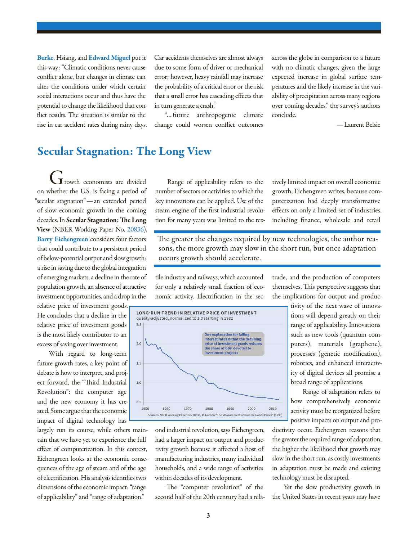[Burke](http://www.nber.org/people/marshall_burke), Hsiang, and [Edward Miguel](http://www.nber.org/people/edward_miguel) put it this way: "Climatic conditions never cause conflict alone, but changes in climate can alter the conditions under which certain social interactions occur and thus have the potential to change the likelihood that conflict results. The situation is similar to the rise in car accident rates during rainy days. Car accidents themselves are almost always due to some form of driver or mechanical error; however, heavy rainfall may increase the probability of a critical error or the risk that a small error has cascading effects that in turn generate a crash."

"…future anthropogenic climate change could worsen conflict outcomes across the globe in comparison to a future with no climatic changes, given the large expected increase in global surface temperatures and the likely increase in the variability of precipitation across many regions over coming decades," the survey's authors conclude.

—Laurent Belsie

### Secular Stagnation: The Long View

 $\mathbf I$  rowth economists are divided on whether the U.S. is facing a period of "secular stagnation"—an extended period of slow economic growth in the coming decades. In Secular Stagnation: The Long View (NBER Working Paper No. [20836\)](http://www.nber.org/papers/w20836), [Barry Eichengreen](http://www.nber.org/people/barry_eichengreen) considers four factors that could contribute to a persistent period of below-potential output and slow growth: a rise in saving due to the global integration of emerging markets, a decline in the rate of population growth, an absence of attractive investment opportunities, and a drop in the

relative price of investment goods. He concludes that a decline in the relative price of investment goods is the most likely contributor to an excess of saving over investment.

With regard to long-term future growth rates, a key point of debate is how to interpret, and project forward, the "Third Industrial Revolution": the computer age and the new economy it has created. Some argue that the economic impact of digital technology has

largely run its course, while others maintain that we have yet to experience the full effect of computerization. In this context, Eichengreen looks at the economic consequences of the age of steam and of the age of electrification. His analysis identifies two dimensions of the economic impact: "range of applicability" and "range of adaptation."

Range of applicability refers to the number of sectors or activities to which the key innovations can be applied. Use of the steam engine of the first industrial revolution for many years was limited to the tex-

tively limited impact on overall economic growth, Eichengreen writes, because computerization had deeply transformative effects on only a limited set of industries, including finance, wholesale and retail

The greater the changes required by new technologies, the author reasons, the more growth may slow in the short run, but once adaptation occurs growth should accelerate.

tile industry and railways, which accounted for only a relatively small fraction of economic activity. Electrification in the sec-



ond industrial revolution, says Eichengreen, had a larger impact on output and productivity growth because it affected a host of manufacturing industries, many individual households, and a wide range of activities within decades of its development.

The "computer revolution" of the second half of the 20th century had a relatrade, and the production of computers themselves. This perspective suggests that the implications for output and produc-

> tivity of the next wave of innovations will depend greatly on their range of applicability. Innovations such as new tools (quantum computers), materials (graphene), processes (genetic modification), robotics, and enhanced interactivity of digital devices all promise a broad range of applications.

> Range of adaptation refers to how comprehensively economic activity must be reorganized before positive impacts on output and pro-

ductivity occur. Eichengreen reasons that the greater the required range of adaptation, the higher the likelihood that growth may slow in the short run, as costly investments in adaptation must be made and existing technology must be disrupted.

Yet the slow productivity growth in the United States in recent years may have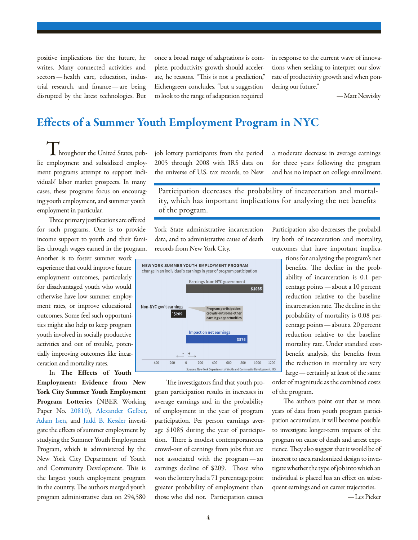positive implications for the future, he writes. Many connected activities and sectors—health care, education, industrial research, and finance—are being disrupted by the latest technologies. But

once a broad range of adaptations is complete, productivity growth should accelerate, he reasons. "This is not a prediction," Eichengreen concludes, "but a suggestion to look to the range of adaptation required

in response to the current wave of innovations when seeking to interpret our slow rate of productivity growth and when pondering our future."

—Matt Nesvisky

#### Effects of a Summer Youth Employment Program in NYC

**L** hroughout the United States, public employment and subsidized employment programs attempt to support individuals' labor market prospects. In many cases, these programs focus on encouraging youth employment, and summer youth employment in particular.

Three primary justifications are offered for such programs. One is to provide income support to youth and their families through wages earned in the program.

Another is to foster summer work experience that could improve future employment outcomes, particularly for disadvantaged youth who would otherwise have low summer employment rates, or improve educational outcomes. Some feel such opportunities might also help to keep program youth involved in socially productive activities and out of trouble, potentially improving outcomes like incarceration and mortality rates.

In The Effects of Youth

Employment: Evidence from New York City Summer Youth Employment Program Lotteries (NBER Working Paper No. [20810\)](http://www.nber.org/papers/w20810), [Alexander Gelber](http://www.nber.org/people/alexander_gelber), [Adam Isen,](http://www.nber.org/people/adam_isen) and [Judd B. Kessler](http://www.nber.org/people/judd_kessler) investigate the effects of summer employment by studying the Summer Youth Employment Program, which is administered by the New York City Department of Youth and Community Development. This is the largest youth employment program in the country. The authors merged youth program administrative data on 294,580

job lottery participants from the period 2005 through 2008 with IRS data on the universe of U.S. tax records, to New a moderate decrease in average earnings for three years following the program and has no impact on college enrollment.

Participation decreases the probability of incarceration and mortality, which has important implications for analyzing the net benefits of the program.

York State administrative incarceration data, and to administrative cause of death records from New York City.



The investigators find that youth program participation results in increases in average earnings and in the probability of employment in the year of program participation. Per person earnings average \$1085 during the year of participation. There is modest contemporaneous crowd-out of earnings from jobs that are not associated with the program—an earnings decline of \$209. Those who won the lottery had a 71 percentage point greater probability of employment than those who did not. Participation causes

Participation also decreases the probability both of incarceration and mortality, outcomes that have important implica-

> tions for analyzing the program's net benefits. The decline in the probability of incarceration is 0.1 percentage points—about a 10 percent reduction relative to the baseline incarceration rate. The decline in the probability of mortality is 0.08 percentage points—about a 20 percent reduction relative to the baseline mortality rate. Under standard costbenefit analysis, the benefits from the reduction in mortality are very large—certainly at least of the same

order of magnitude as the combined costs of the program.

The authors point out that as more years of data from youth program participation accumulate, it will become possible to investigate longer-term impacts of the program on cause of death and arrest experience. They also suggest that it would be of interest to use a randomized design to investigate whether the type of job into which an individual is placed has an effect on subsequent earnings and on career trajectories.

—Les Picker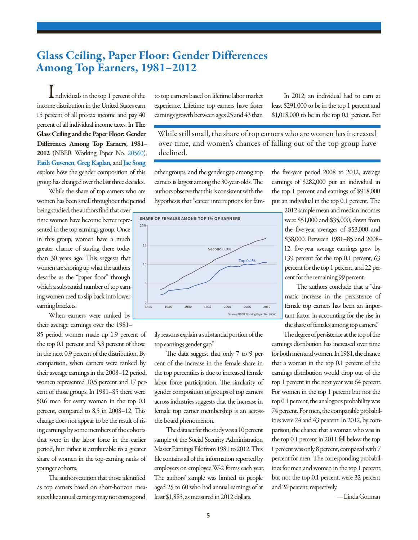## Glass Ceiling, Paper Floor: Gender Differences Among Top Earners, 1981–2012

Individuals in the top 1 percent of the income distribution in the United States earn 15 percent of all pre-tax income and pay 40 percent of all individual income taxes. In The Glass Ceiling and the Paper Floor: Gender Differences Among Top Earners, 1981– 2012 (NBER Working Paper No. [20560](http://www.nber.org/papers/w20560)), [Fatih Guvenen](http://www.nber.org/people/fatih_guvenen), [Greg Kaplan](http://www.nber.org/people/greg_kaplan), and [Jae Song](http://www.nber.org/people/jae_song) explore how the gender composition of this group has changed over the last three decades.

While the share of top earners who are women has been small throughout the period

being studied, the authors find that over time women have become better represented in the top earnings group. Once in this group, women have a much greater chance of staying there today than 30 years ago. This suggests that women are shoring up what the authors describe as the "paper floor" through which a substantial number of top earning women used to slip back into lowerearning brackets.

When earners were ranked by their average earnings over the 1981–

85 period, women made up 1.9 percent of the top 0.1 percent and 3.3 percent of those in the next 0.9 percent of the distribution. By comparison, when earners were ranked by their average earnings in the 2008–12 period, women represented 10.5 percent and 17 percent of those groups. In 1981–85 there were 50.6 men for every woman in the top 0.1 percent, compared to 8.5 in 2008–12. This change does not appear to be the result of rising earnings by some members of the cohorts that were in the labor force in the earlier period, but rather is attributable to a greater share of women in the top-earning ranks of younger cohorts.

The authors caution that those identified as top earners based on short-horizon measures like annual earnings may not correspond

to top earners based on lifetime labor market experience. Lifetime top earners have faster earnings growth between ages 25 and 43 than

In 2012, an individual had to earn at least \$291,000 to be in the top 1 percent and \$1,018,000 to be in the top 0.1 percent. For

While still small, the share of top earners who are women has increased over time, and women's chances of falling out of the top group have declined.

other groups, and the gender gap among top earners is largest among the 30-year-olds. The authors observe that this is consistent with the hypothesis that "career interruptions for fam-



ily reasons explain a substantial portion of the top earnings gender gap."

The data suggest that only 7 to 9 percent of the increase in the female share in the top percentiles is due to increased female labor force participation. The similarity of gender composition of groups of top earners across industries suggests that the increase in female top earner membership is an acrossthe-board phenomenon.

The data set for the study was a 10 percent sample of the Social Security Administration Master Earnings File from 1981 to 2012. This file contains all of the information reported by employers on employee W-2 forms each year. The authors' sample was limited to people aged 25 to 60 who had annual earnings of at least \$1,885, as measured in 2012 dollars.

the five-year period 2008 to 2012, average earnings of \$282,000 put an individual in the top 1 percent and earnings of \$918,000 put an individual in the top 0.1 percent. The

2012 sample mean and median incomes were \$51,000 and \$35,000, down from the five-year averages of \$53,000 and \$38,000. Between 1981–85 and 2008– 12, five-year average earnings grew by 139 percent for the top 0.1 percent, 63 percent for the top 1 percent, and 22 percent for the remaining 99 percent.

The authors conclude that a "dramatic increase in the persistence of female top earners has been an important factor in accounting for the rise in the share of females among top earners."

The degree of persistence at the top of the earnings distribution has increased over time for both men and women. In 1981, the chance that a woman in the top 0.1 percent of the earnings distribution would drop out of the top 1 percent in the next year was 64 percent. For women in the top 1 percent but not the top 0.1 percent, the analogous probability was 74 percent. For men, the comparable probabilities were 24 and 43 percent. In 2012, by comparison, the chance that a woman who was in the top 0.1 percent in 2011 fell below the top 1 percent was only 8 percent, compared with 7 percent for men. The corresponding probabilities for men and women in the top 1 percent, but not the top 0.1 percent, were 32 percent and 26 percent, respectively.

—Linda Gorman